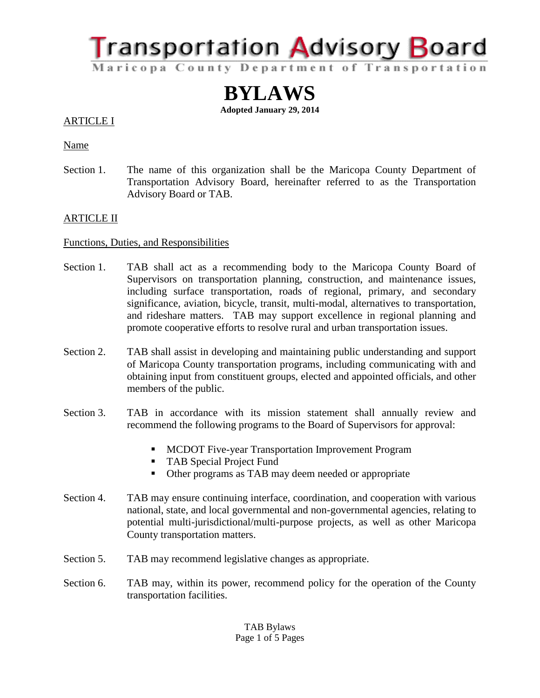**Transportation Advisory Board** Maricopa County Department of Transportation

> **BYLAWS Adopted January 29, 2014**

# ARTICLE I

Name

Section 1. The name of this organization shall be the Maricopa County Department of Transportation Advisory Board, hereinafter referred to as the Transportation Advisory Board or TAB.

## ARTICLE II

## Functions, Duties, and Responsibilities

- Section 1. TAB shall act as a recommending body to the Maricopa County Board of Supervisors on transportation planning, construction, and maintenance issues, including surface transportation, roads of regional, primary, and secondary significance, aviation, bicycle, transit, multi-modal, alternatives to transportation, and rideshare matters. TAB may support excellence in regional planning and promote cooperative efforts to resolve rural and urban transportation issues.
- Section 2. TAB shall assist in developing and maintaining public understanding and support of Maricopa County transportation programs, including communicating with and obtaining input from constituent groups, elected and appointed officials, and other members of the public.
- Section 3. TAB in accordance with its mission statement shall annually review and recommend the following programs to the Board of Supervisors for approval:
	- **MCDOT Five-year Transportation Improvement Program**
	- **TAB Special Project Fund**
	- Other programs as TAB may deem needed or appropriate
- Section 4. TAB may ensure continuing interface, coordination, and cooperation with various national, state, and local governmental and non-governmental agencies, relating to potential multi-jurisdictional/multi-purpose projects, as well as other Maricopa County transportation matters.
- Section 5. TAB may recommend legislative changes as appropriate.
- Section 6. TAB may, within its power, recommend policy for the operation of the County transportation facilities.

TAB Bylaws Page 1 of 5 Pages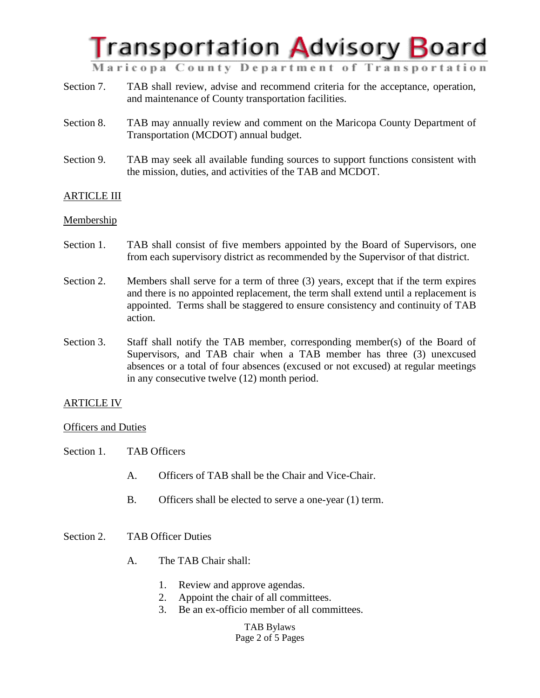

Maricopa County Department of Transportation

- Section 7. TAB shall review, advise and recommend criteria for the acceptance, operation, and maintenance of County transportation facilities.
- Section 8. TAB may annually review and comment on the Maricopa County Department of Transportation (MCDOT) annual budget.
- Section 9. TAB may seek all available funding sources to support functions consistent with the mission, duties, and activities of the TAB and MCDOT.

## ARTICLE III

#### **Membership**

- Section 1. TAB shall consist of five members appointed by the Board of Supervisors, one from each supervisory district as recommended by the Supervisor of that district.
- Section 2. Members shall serve for a term of three (3) years, except that if the term expires and there is no appointed replacement, the term shall extend until a replacement is appointed. Terms shall be staggered to ensure consistency and continuity of TAB action.
- Section 3. Staff shall notify the TAB member, corresponding member(s) of the Board of Supervisors, and TAB chair when a TAB member has three (3) unexcused absences or a total of four absences (excused or not excused) at regular meetings in any consecutive twelve (12) month period.

## ARTICLE IV

#### Officers and Duties

- Section 1. TAB Officers
	- A. Officers of TAB shall be the Chair and Vice-Chair.
	- B. Officers shall be elected to serve a one-year (1) term.

#### Section 2. TAB Officer Duties

- A. The TAB Chair shall:
	- 1. Review and approve agendas.
	- 2. Appoint the chair of all committees.
	- 3. Be an ex-officio member of all committees.

TAB Bylaws Page 2 of 5 Pages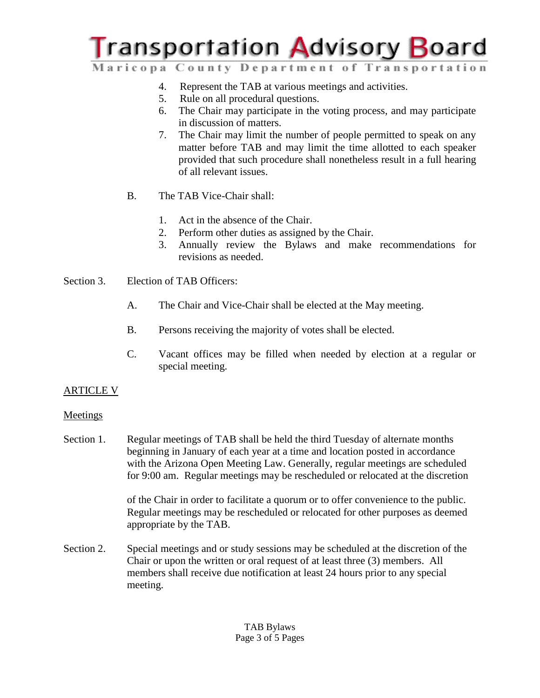# **Transportation Advisory Board**

Maricopa County Department of Transportation

- 4. Represent the TAB at various meetings and activities.
- 5. Rule on all procedural questions.
- 6. The Chair may participate in the voting process, and may participate in discussion of matters.
- 7. The Chair may limit the number of people permitted to speak on any matter before TAB and may limit the time allotted to each speaker provided that such procedure shall nonetheless result in a full hearing of all relevant issues.
- B. The TAB Vice-Chair shall:
	- 1. Act in the absence of the Chair.
	- 2. Perform other duties as assigned by the Chair.
	- 3. Annually review the Bylaws and make recommendations for revisions as needed.
- Section 3. Election of TAB Officers:
	- A. The Chair and Vice-Chair shall be elected at the May meeting.
	- B. Persons receiving the majority of votes shall be elected.
	- C. Vacant offices may be filled when needed by election at a regular or special meeting.

# ARTICLE V

## Meetings

Section 1. Regular meetings of TAB shall be held the third Tuesday of alternate months beginning in January of each year at a time and location posted in accordance with the Arizona Open Meeting Law. Generally, regular meetings are scheduled for 9:00 am. Regular meetings may be rescheduled or relocated at the discretion

> of the Chair in order to facilitate a quorum or to offer convenience to the public. Regular meetings may be rescheduled or relocated for other purposes as deemed appropriate by the TAB.

Section 2. Special meetings and or study sessions may be scheduled at the discretion of the Chair or upon the written or oral request of at least three (3) members. All members shall receive due notification at least 24 hours prior to any special meeting.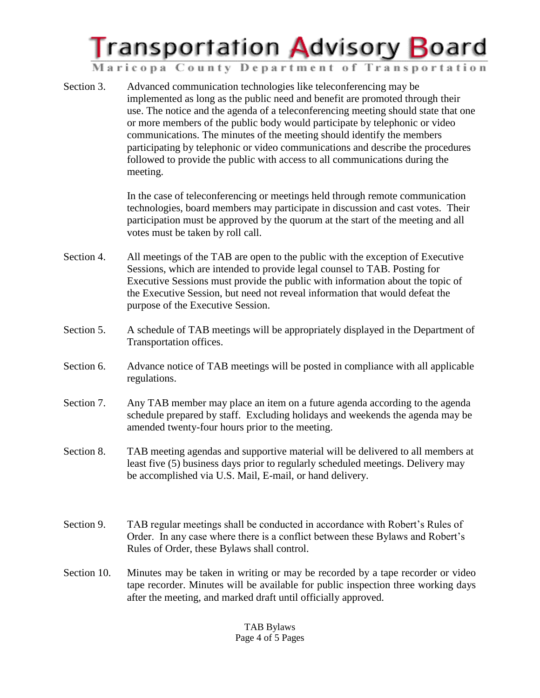

Maricopa County Department of Transportation

Section 3. Advanced communication technologies like teleconferencing may be implemented as long as the public need and benefit are promoted through their use. The notice and the agenda of a teleconferencing meeting should state that one or more members of the public body would participate by telephonic or video communications. The minutes of the meeting should identify the members participating by telephonic or video communications and describe the procedures followed to provide the public with access to all communications during the meeting.

> In the case of teleconferencing or meetings held through remote communication technologies, board members may participate in discussion and cast votes. Their participation must be approved by the quorum at the start of the meeting and all votes must be taken by roll call.

- Section 4. All meetings of the TAB are open to the public with the exception of Executive Sessions, which are intended to provide legal counsel to TAB. Posting for Executive Sessions must provide the public with information about the topic of the Executive Session, but need not reveal information that would defeat the purpose of the Executive Session.
- Section 5. A schedule of TAB meetings will be appropriately displayed in the Department of Transportation offices.
- Section 6. Advance notice of TAB meetings will be posted in compliance with all applicable regulations.
- Section 7. Any TAB member may place an item on a future agenda according to the agenda schedule prepared by staff.Excluding holidays and weekends the agenda may be amended twenty-four hours prior to the meeting.
- Section 8. TAB meeting agendas and supportive material will be delivered to all members at least five (5) business days prior to regularly scheduled meetings. Delivery may be accomplished via U.S. Mail, E-mail, or hand delivery.
- Section 9. TAB regular meetings shall be conducted in accordance with Robert's Rules of Order. In any case where there is a conflict between these Bylaws and Robert's Rules of Order, these Bylaws shall control.
- Section 10. Minutes may be taken in writing or may be recorded by a tape recorder or video tape recorder. Minutes will be available for public inspection three working days after the meeting, and marked draft until officially approved.

#### TAB Bylaws Page 4 of 5 Pages